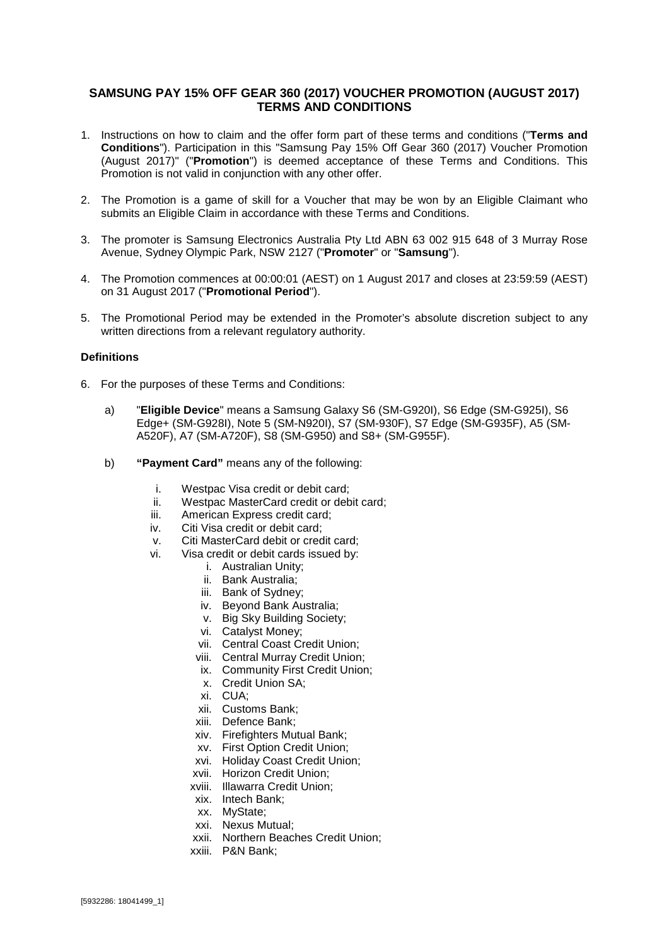## **SAMSUNG PAY 15% OFF GEAR 360 (2017) VOUCHER PROMOTION (AUGUST 2017) TERMS AND CONDITIONS**

- 1. Instructions on how to claim and the offer form part of these terms and conditions ("**Terms and Conditions**"). Participation in this "Samsung Pay 15% Off Gear 360 (2017) Voucher Promotion (August 2017)" ("**Promotion**") is deemed acceptance of these Terms and Conditions. This Promotion is not valid in conjunction with any other offer.
- 2. The Promotion is a game of skill for a Voucher that may be won by an Eligible Claimant who submits an Eligible Claim in accordance with these Terms and Conditions.
- 3. The promoter is Samsung Electronics Australia Pty Ltd ABN 63 002 915 648 of 3 Murray Rose Avenue, Sydney Olympic Park, NSW 2127 ("**Promoter**" or "**Samsung**").
- 4. The Promotion commences at 00:00:01 (AEST) on 1 August 2017 and closes at 23:59:59 (AEST) on 31 August 2017 ("**Promotional Period**").
- 5. The Promotional Period may be extended in the Promoter's absolute discretion subject to any written directions from a relevant regulatory authority.

#### **Definitions**

- 6. For the purposes of these Terms and Conditions:
	- a) "**Eligible Device**" means a Samsung Galaxy S6 (SM-G920I), S6 Edge (SM-G925I), S6 Edge+ (SM-G928I), Note 5 (SM-N920I), S7 (SM-930F), S7 Edge (SM-G935F), A5 (SM-A520F), A7 (SM-A720F), S8 (SM-G950) and S8+ (SM-G955F).
	- b) **"Payment Card"** means any of the following:
		- i. Westpac Visa credit or debit card;<br>ii. Westpac MasterCard credit or deb
		- ii. Westpac MasterCard credit or debit card;<br>iii. American Express credit card:
		- American Express credit card:
		- iv. Citi Visa credit or debit card;
		- v. Citi MasterCard debit or credit card;
		- vi. Visa credit or debit cards issued by:
			- i. Australian Unity;
			- ii. Bank Australia;
			- iii. Bank of Sydney;
			- iv. Beyond Bank Australia;
			- v. Big Sky Building Society;
			- vi. Catalyst Money;
			- vii. Central Coast Credit Union;
			- viii. Central Murray Credit Union;
			- ix. Community First Credit Union;
			- x. Credit Union SA;
			- xi. CUA;
			- xii. Customs Bank;
			- xiii. Defence Bank;
			- xiv. Firefighters Mutual Bank;
			- xv. First Option Credit Union;
			- xvi. Holiday Coast Credit Union;
			- xvii. Horizon Credit Union;
			- xviii. Illawarra Credit Union;
			- xix. Intech Bank;
			- xx. MyState;
			- xxi. Nexus Mutual;
			- xxii. Northern Beaches Credit Union;
			- xxiii. P&N Bank;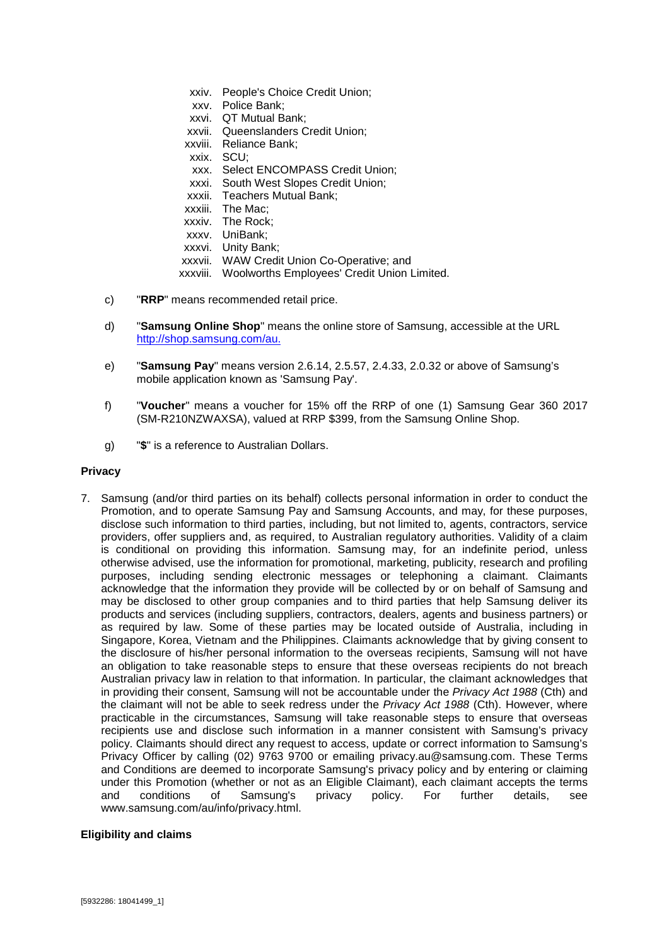- xxiv. People's Choice Credit Union; xxv. Police Bank; xxvi. QT Mutual Bank; xxvii. Queenslanders Credit Union; xxviii. Reliance Bank; xxix. SCU; xxx. Select ENCOMPASS Credit Union; xxxi. South West Slopes Credit Union; xxxii. Teachers Mutual Bank; xxxiii. The Mac; xxxiv. The Rock; xxxv. UniBank; xxxvi. Unity Bank; xxxvii. WAW Credit Union Co-Operative; and xxxviii. Woolworths Employees' Credit Union Limited.
- c) "**RRP**" means recommended retail price.
- d) "**Samsung Online Shop**" means the online store of Samsung, accessible at the URL [http://shop.samsung.com/au.](http://shop.samsung.com/au)
- e) "**Samsung Pay**" means version 2.6.14, 2.5.57, 2.4.33, 2.0.32 or above of Samsung's mobile application known as 'Samsung Pay'.
- f) "**Voucher**" means a voucher for 15% off the RRP of one (1) Samsung Gear 360 2017 (SM-R210NZWAXSA), valued at RRP \$399, from the Samsung Online Shop.
- g) "**\$**" is a reference to Australian Dollars.

#### **Privacy**

7. Samsung (and/or third parties on its behalf) collects personal information in order to conduct the Promotion, and to operate Samsung Pay and Samsung Accounts, and may, for these purposes, disclose such information to third parties, including, but not limited to, agents, contractors, service providers, offer suppliers and, as required, to Australian regulatory authorities. Validity of a claim is conditional on providing this information. Samsung may, for an indefinite period, unless otherwise advised, use the information for promotional, marketing, publicity, research and profiling purposes, including sending electronic messages or telephoning a claimant. Claimants acknowledge that the information they provide will be collected by or on behalf of Samsung and may be disclosed to other group companies and to third parties that help Samsung deliver its products and services (including suppliers, contractors, dealers, agents and business partners) or as required by law. Some of these parties may be located outside of Australia, including in Singapore, Korea, Vietnam and the Philippines. Claimants acknowledge that by giving consent to the disclosure of his/her personal information to the overseas recipients, Samsung will not have an obligation to take reasonable steps to ensure that these overseas recipients do not breach Australian privacy law in relation to that information. In particular, the claimant acknowledges that in providing their consent, Samsung will not be accountable under the *Privacy Act 1988* (Cth) and the claimant will not be able to seek redress under the *Privacy Act 1988* (Cth). However, where practicable in the circumstances, Samsung will take reasonable steps to ensure that overseas recipients use and disclose such information in a manner consistent with Samsung's privacy policy. Claimants should direct any request to access, update or correct information to Samsung's Privacy Officer by calling (02) 9763 9700 or emailing privacy.au@samsung.com. These Terms and Conditions are deemed to incorporate Samsung's privacy policy and by entering or claiming under this Promotion (whether or not as an Eligible Claimant), each claimant accepts the terms<br>and conditions of Samsung's privacy policy. For further details, see and conditions of Samsung's privacy policy. For further details, see www.samsung.com/au/info/privacy.html.

#### **Eligibility and claims**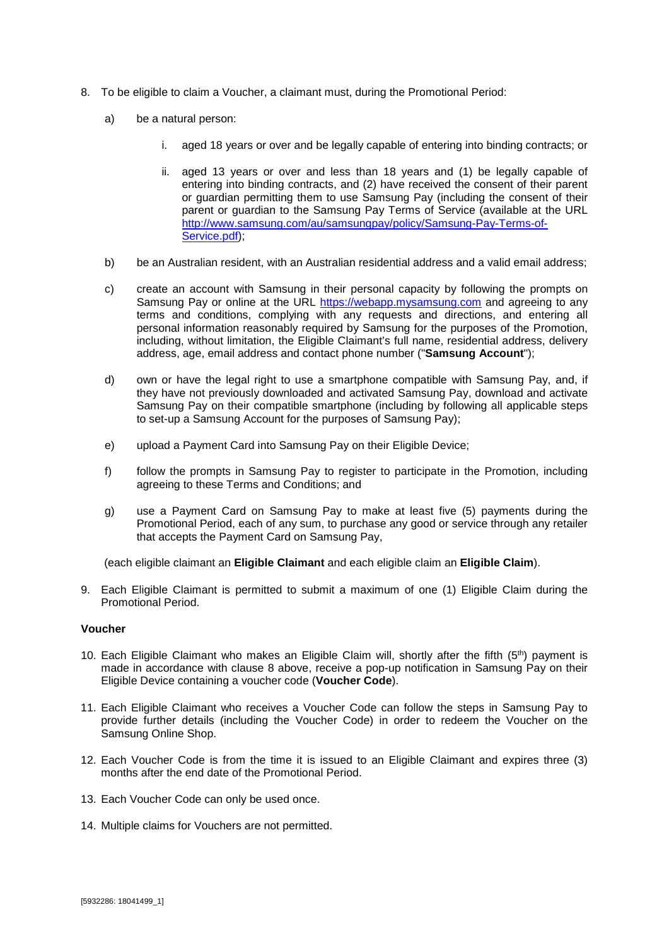- <span id="page-2-0"></span>8. To be eligible to claim a Voucher, a claimant must, during the Promotional Period:
	- a) be a natural person:
		- i. aged 18 years or over and be legally capable of entering into binding contracts; or
		- ii. aged 13 years or over and less than 18 years and (1) be legally capable of entering into binding contracts, and (2) have received the consent of their parent or guardian permitting them to use Samsung Pay (including the consent of their parent or guardian to the Samsung Pay Terms of Service (available at the URL [http://www.samsung.com/au/samsungpay/policy/Samsung-Pay-Terms-of-](http://www.samsung.com/au/samsungpay/policy/Samsung-Pay-Terms-of-Service.pdf)[Service.pdf\)](http://www.samsung.com/au/samsungpay/policy/Samsung-Pay-Terms-of-Service.pdf);
	- b) be an Australian resident, with an Australian residential address and a valid email address;
	- c) create an account with Samsung in their personal capacity by following the prompts on Samsung Pay or online at the URL [https://webapp.mysamsung.com](https://webapp.mysamsung.com/) and agreeing to any terms and conditions, complying with any requests and directions, and entering all personal information reasonably required by Samsung for the purposes of the Promotion, including, without limitation, the Eligible Claimant's full name, residential address, delivery address, age, email address and contact phone number ("**Samsung Account**");
	- d) own or have the legal right to use a smartphone compatible with Samsung Pay, and, if they have not previously downloaded and activated Samsung Pay, download and activate Samsung Pay on their compatible smartphone (including by following all applicable steps to set-up a Samsung Account for the purposes of Samsung Pay);
	- e) upload a Payment Card into Samsung Pay on their Eligible Device;
	- f) follow the prompts in Samsung Pay to register to participate in the Promotion, including agreeing to these Terms and Conditions; and
	- g) use a Payment Card on Samsung Pay to make at least five (5) payments during the Promotional Period, each of any sum, to purchase any good or service through any retailer that accepts the Payment Card on Samsung Pay,

(each eligible claimant an **Eligible Claimant** and each eligible claim an **Eligible Claim**).

9. Each Eligible Claimant is permitted to submit a maximum of one (1) Eligible Claim during the Promotional Period.

#### **Voucher**

- 10. Each Eligible Claimant who makes an Eligible Claim will, shortly after the fifth  $(5<sup>th</sup>)$  payment is made in accordance with clause [8](#page-2-0) above, receive a pop-up notification in Samsung Pay on their Eligible Device containing a voucher code (**Voucher Code**).
- 11. Each Eligible Claimant who receives a Voucher Code can follow the steps in Samsung Pay to provide further details (including the Voucher Code) in order to redeem the Voucher on the Samsung Online Shop.
- 12. Each Voucher Code is from the time it is issued to an Eligible Claimant and expires three (3) months after the end date of the Promotional Period.
- 13. Each Voucher Code can only be used once.
- 14. Multiple claims for Vouchers are not permitted.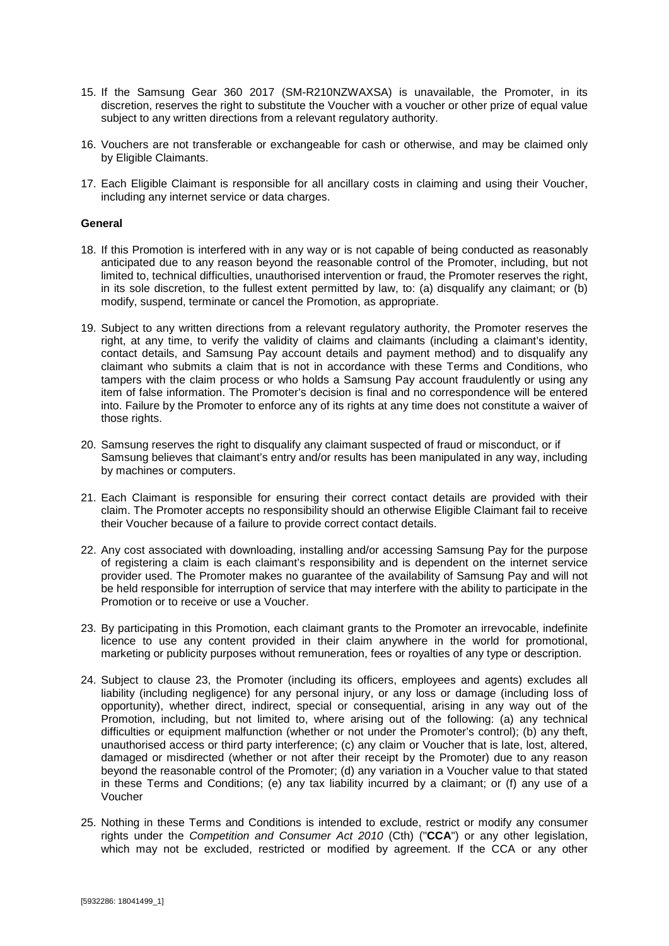- 15. If the Samsung Gear 360 2017 (SM-R210NZWAXSA) is unavailable, the Promoter, in its discretion, reserves the right to substitute the Voucher with a voucher or other prize of equal value subject to any written directions from a relevant regulatory authority.
- 16. Vouchers are not transferable or exchangeable for cash or otherwise, and may be claimed only by Eligible Claimants.
- 17. Each Eligible Claimant is responsible for all ancillary costs in claiming and using their Voucher, including any internet service or data charges.

#### **General**

- 18. If this Promotion is interfered with in any way or is not capable of being conducted as reasonably anticipated due to any reason beyond the reasonable control of the Promoter, including, but not limited to, technical difficulties, unauthorised intervention or fraud, the Promoter reserves the right, in its sole discretion, to the fullest extent permitted by law, to: (a) disqualify any claimant; or (b) modify, suspend, terminate or cancel the Promotion, as appropriate.
- 19. Subject to any written directions from a relevant regulatory authority, the Promoter reserves the right, at any time, to verify the validity of claims and claimants (including a claimant's identity, contact details, and Samsung Pay account details and payment method) and to disqualify any claimant who submits a claim that is not in accordance with these Terms and Conditions, who tampers with the claim process or who holds a Samsung Pay account fraudulently or using any item of false information. The Promoter's decision is final and no correspondence will be entered into. Failure by the Promoter to enforce any of its rights at any time does not constitute a waiver of those rights.
- 20. Samsung reserves the right to disqualify any claimant suspected of fraud or misconduct, or if Samsung believes that claimant's entry and/or results has been manipulated in any way, including by machines or computers.
- 21. Each Claimant is responsible for ensuring their correct contact details are provided with their claim. The Promoter accepts no responsibility should an otherwise Eligible Claimant fail to receive their Voucher because of a failure to provide correct contact details.
- 22. Any cost associated with downloading, installing and/or accessing Samsung Pay for the purpose of registering a claim is each claimant's responsibility and is dependent on the internet service provider used. The Promoter makes no guarantee of the availability of Samsung Pay and will not be held responsible for interruption of service that may interfere with the ability to participate in the Promotion or to receive or use a Voucher.
- 23. By participating in this Promotion, each claimant grants to the Promoter an irrevocable, indefinite licence to use any content provided in their claim anywhere in the world for promotional, marketing or publicity purposes without remuneration, fees or royalties of any type or description.
- 24. Subject to clause [23,](#page-3-0) the Promoter (including its officers, employees and agents) excludes all liability (including negligence) for any personal injury, or any loss or damage (including loss of opportunity), whether direct, indirect, special or consequential, arising in any way out of the Promotion, including, but not limited to, where arising out of the following: (a) any technical difficulties or equipment malfunction (whether or not under the Promoter's control); (b) any theft, unauthorised access or third party interference; (c) any claim or Voucher that is late, lost, altered, damaged or misdirected (whether or not after their receipt by the Promoter) due to any reason beyond the reasonable control of the Promoter; (d) any variation in a Voucher value to that stated in these Terms and Conditions; (e) any tax liability incurred by a claimant; or (f) any use of a Voucher
- <span id="page-3-0"></span>25. Nothing in these Terms and Conditions is intended to exclude, restrict or modify any consumer rights under the *Competition and Consumer Act 2010* (Cth) ("**CCA**") or any other legislation, which may not be excluded, restricted or modified by agreement. If the CCA or any other